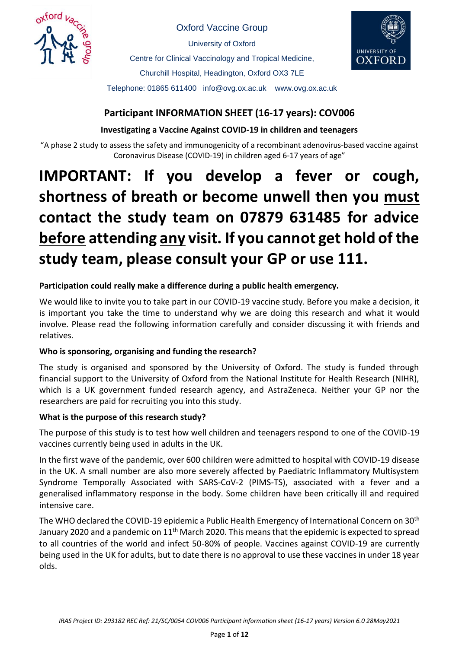

Oxford Vaccine Group University of Oxford

Centre for Clinical Vaccinology and Tropical Medicine, Churchill Hospital, Headington, Oxford OX3 7LE Telephone: 01865 611400 info@ovg.ox.ac.uk www.ovg.ox.ac.uk



# **Participant INFORMATION SHEET (16-17 years): COV006**

# **Investigating a Vaccine Against COVID-19 in children and teenagers**

"A phase 2 study to assess the safety and immunogenicity of a recombinant adenovirus-based vaccine against Coronavirus Disease (COVID-19) in children aged 6-17 years of age"

# **IMPORTANT: If you develop a fever or cough, shortness of breath or become unwell then you must contact the study team on 07879 631485 for advice before attending any visit. If you cannot get hold of the study team, please consult your GP or use 111.**

## **Participation could really make a difference during a public health emergency.**

We would like to invite you to take part in our COVID-19 vaccine study. Before you make a decision, it is important you take the time to understand why we are doing this research and what it would involve. Please read the following information carefully and consider discussing it with friends and relatives.

# **Who is sponsoring, organising and funding the research?**

The study is organised and sponsored by the University of Oxford. The study is funded through financial support to the University of Oxford from the National Institute for Health Research (NIHR), which is a UK government funded research agency, and AstraZeneca. Neither your GP nor the researchers are paid for recruiting you into this study.

## **What is the purpose of this research study?**

The purpose of this study is to test how well children and teenagers respond to one of the COVID-19 vaccines currently being used in adults in the UK.

In the first wave of the pandemic, over 600 children were admitted to hospital with COVID-19 disease in the UK. A small number are also more severely affected by Paediatric Inflammatory Multisystem Syndrome Temporally Associated with SARS-CoV-2 (PIMS-TS), associated with a fever and a generalised inflammatory response in the body. Some children have been critically ill and required intensive care.

The WHO declared the COVID-19 epidemic a Public Health Emergency of International Concern on 30<sup>th</sup> January 2020 and a pandemic on 11<sup>th</sup> March 2020. This means that the epidemic is expected to spread to all countries of the world and infect 50-80% of people. Vaccines against COVID-19 are currently being used in the UK for adults, but to date there is no approval to use these vaccines in under 18 year olds.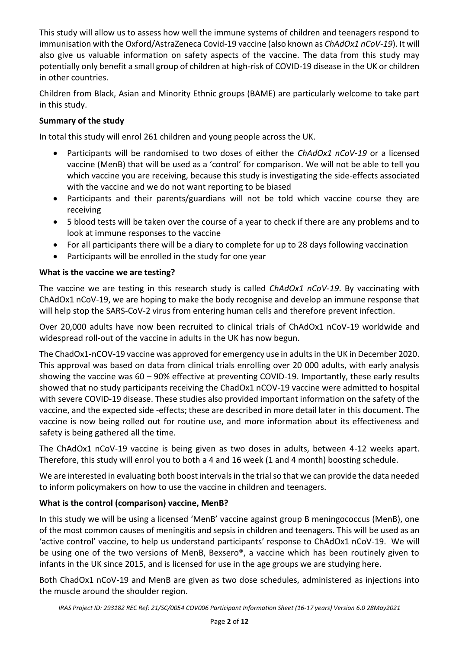This study will allow us to assess how well the immune systems of children and teenagers respond to immunisation with the Oxford/AstraZeneca Covid-19 vaccine (also known as *ChAdOx1 nCoV-19*). It will also give us valuable information on safety aspects of the vaccine. The data from this study may potentially only benefit a small group of children at high-risk of COVID-19 disease in the UK or children in other countries.

Children from Black, Asian and Minority Ethnic groups (BAME) are particularly welcome to take part in this study.

# **Summary of the study**

In total this study will enrol 261 children and young people across the UK.

- Participants will be randomised to two doses of either the *ChAdOx1 nCoV-19* or a licensed vaccine (MenB) that will be used as a 'control' for comparison. We will not be able to tell you which vaccine you are receiving, because this study is investigating the side-effects associated with the vaccine and we do not want reporting to be biased
- Participants and their parents/guardians will not be told which vaccine course they are receiving
- 5 blood tests will be taken over the course of a year to check if there are any problems and to look at immune responses to the vaccine
- For all participants there will be a diary to complete for up to 28 days following vaccination
- Participants will be enrolled in the study for one year

## **What is the vaccine we are testing?**

The vaccine we are testing in this research study is called *ChAdOx1 nCoV-19*. By vaccinating with ChAdOx1 nCoV-19, we are hoping to make the body recognise and develop an immune response that will help stop the SARS-CoV-2 virus from entering human cells and therefore prevent infection.

Over 20,000 adults have now been recruited to clinical trials of ChAdOx1 nCoV-19 worldwide and widespread roll-out of the vaccine in adults in the UK has now begun.

The ChadOx1-nCOV-19 vaccine was approved for emergency use in adults in the UK in December 2020. This approval was based on data from clinical trials enrolling over 20 000 adults, with early analysis showing the vaccine was 60 – 90% effective at preventing COVID-19. Importantly, these early results showed that no study participants receiving the ChadOx1 nCOV-19 vaccine were admitted to hospital with severe COVID-19 disease. These studies also provided important information on the safety of the vaccine, and the expected side -effects; these are described in more detail later in this document. The vaccine is now being rolled out for routine use, and more information about its effectiveness and safety is being gathered all the time.

The ChAdOx1 nCoV-19 vaccine is being given as two doses in adults, between 4-12 weeks apart. Therefore, this study will enrol you to both a 4 and 16 week (1 and 4 month) boosting schedule.

We are interested in evaluating both boost intervals in the trial so that we can provide the data needed to inform policymakers on how to use the vaccine in children and teenagers.

# **What is the control (comparison) vaccine, MenB?**

In this study we will be using a licensed 'MenB' vaccine against group B meningococcus (MenB), one of the most common causes of meningitis and sepsis in children and teenagers. This will be used as an 'active control' vaccine, to help us understand participants' response to ChAdOx1 nCoV-19. We will be using one of the two versions of MenB, Bexsero®, a vaccine which has been routinely given to infants in the UK since 2015, and is licensed for use in the age groups we are studying here.

Both ChadOx1 nCoV-19 and MenB are given as two dose schedules, administered as injections into the muscle around the shoulder region.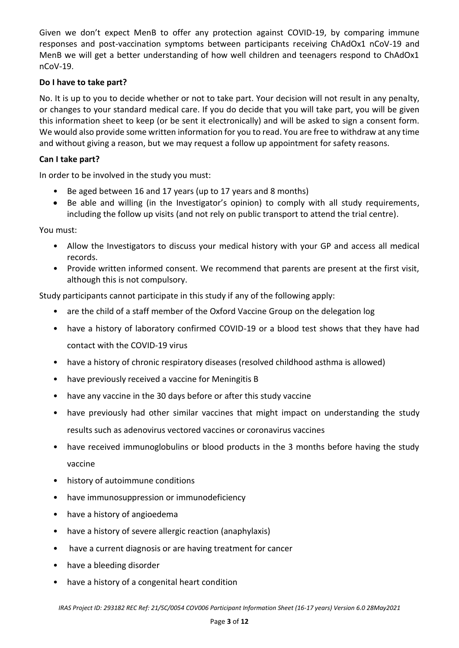Given we don't expect MenB to offer any protection against COVID-19, by comparing immune responses and post-vaccination symptoms between participants receiving ChAdOx1 nCoV-19 and MenB we will get a better understanding of how well children and teenagers respond to ChAdOx1 nCoV-19.

## **Do I have to take part?**

No. It is up to you to decide whether or not to take part. Your decision will not result in any penalty, or changes to your standard medical care. If you do decide that you will take part, you will be given this information sheet to keep (or be sent it electronically) and will be asked to sign a consent form. We would also provide some written information for you to read. You are free to withdraw at any time and without giving a reason, but we may request a follow up appointment for safety reasons.

## **Can I take part?**

In order to be involved in the study you must:

- Be aged between 16 and 17 years (up to 17 years and 8 months)
- Be able and willing (in the Investigator's opinion) to comply with all study requirements, including the follow up visits (and not rely on public transport to attend the trial centre).

## You must:

- Allow the Investigators to discuss your medical history with your GP and access all medical records.
- Provide written informed consent. We recommend that parents are present at the first visit, although this is not compulsory.

Study participants cannot participate in this study if any of the following apply:

- are the child of a staff member of the Oxford Vaccine Group on the delegation log
- have a history of laboratory confirmed COVID-19 or a blood test shows that they have had contact with the COVID-19 virus
- have a history of chronic respiratory diseases (resolved childhood asthma is allowed)
- have previously received a vaccine for Meningitis B
- have any vaccine in the 30 days before or after this study vaccine
- have previously had other similar vaccines that might impact on understanding the study results such as adenovirus vectored vaccines or coronavirus vaccines
- have received immunoglobulins or blood products in the 3 months before having the study vaccine
- history of autoimmune conditions
- have immunosuppression or immunodeficiency
- have a history of angioedema
- have a history of severe allergic reaction (anaphylaxis)
- have a current diagnosis or are having treatment for cancer
- have a bleeding disorder
- have a history of a congenital heart condition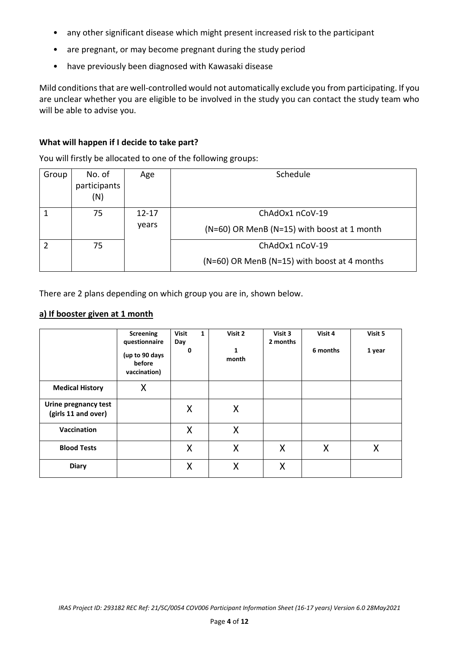- any other significant disease which might present increased risk to the participant
- are pregnant, or may become pregnant during the study period
- have previously been diagnosed with Kawasaki disease

Mild conditionsthat are well-controlled would not automatically exclude you from participating. If you are unclear whether you are eligible to be involved in the study you can contact the study team who will be able to advise you.

#### **What will happen if I decide to take part?**

You will firstly be allocated to one of the following groups:

| Group | No. of<br>participants<br>(N) | Age                | Schedule                                                        |
|-------|-------------------------------|--------------------|-----------------------------------------------------------------|
|       | 75                            | $12 - 17$<br>years | ChAdOx1 nCoV-19<br>(N=60) OR MenB (N=15) with boost at 1 month  |
|       | 75                            |                    | ChAdOx1 nCoV-19<br>(N=60) OR MenB (N=15) with boost at 4 months |

There are 2 plans depending on which group you are in, shown below.

#### **a) If booster given at 1 month**

|                                             | <b>Screening</b><br>questionnaire<br>(up to 90 days<br>before<br>vaccination) | <b>Visit</b><br>1<br>Day<br>0 | Visit 2<br>$\mathbf{1}$<br>month | Visit 3<br>2 months | Visit 4<br>6 months | Visit 5<br>1 year |
|---------------------------------------------|-------------------------------------------------------------------------------|-------------------------------|----------------------------------|---------------------|---------------------|-------------------|
| <b>Medical History</b>                      | X                                                                             |                               |                                  |                     |                     |                   |
| Urine pregnancy test<br>(girls 11 and over) |                                                                               | Χ                             | X                                |                     |                     |                   |
| Vaccination                                 |                                                                               | X                             | X                                |                     |                     |                   |
| <b>Blood Tests</b>                          |                                                                               | X                             | X                                | X                   | X                   | X                 |
| <b>Diary</b>                                |                                                                               | X                             | X                                | X                   |                     |                   |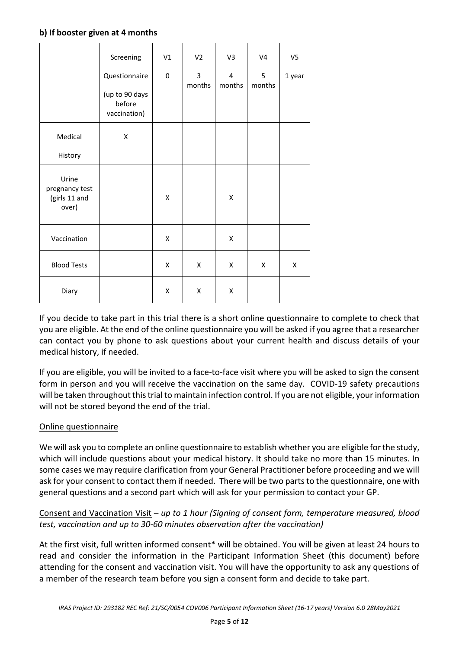#### **b) If booster given at 4 months**

|                                                   | Screening                                | V1 | V <sub>2</sub>           | V <sub>3</sub>           | V <sub>4</sub> | V <sub>5</sub> |
|---------------------------------------------------|------------------------------------------|----|--------------------------|--------------------------|----------------|----------------|
|                                                   | Questionnaire                            | 0  | $\overline{3}$<br>months | $\overline{4}$<br>months | 5<br>months    | 1 year         |
|                                                   | (up to 90 days<br>before<br>vaccination) |    |                          |                          |                |                |
| Medical                                           | Χ                                        |    |                          |                          |                |                |
| History                                           |                                          |    |                          |                          |                |                |
| Urine<br>pregnancy test<br>(girls 11 and<br>over) |                                          | X  |                          | X                        |                |                |
| Vaccination                                       |                                          | X  |                          | X                        |                |                |
| <b>Blood Tests</b>                                |                                          | X  | X                        | X                        | X              | Χ              |
| Diary                                             |                                          | Χ  | Χ                        | Χ                        |                |                |

If you decide to take part in this trial there is a short online questionnaire to complete to check that you are eligible. At the end of the online questionnaire you will be asked if you agree that a researcher can contact you by phone to ask questions about your current health and discuss details of your medical history, if needed.

If you are eligible, you will be invited to a face-to-face visit where you will be asked to sign the consent form in person and you will receive the vaccination on the same day. COVID-19 safety precautions will be taken throughout this trial to maintain infection control. If you are not eligible, your information will not be stored beyond the end of the trial.

## Online questionnaire

We will ask you to complete an online questionnaire to establish whether you are eligible for the study, which will include questions about your medical history. It should take no more than 15 minutes. In some cases we may require clarification from your General Practitioner before proceeding and we will ask for your consent to contact them if needed. There will be two parts to the questionnaire, one with general questions and a second part which will ask for your permission to contact your GP.

## Consent and Vaccination Visit – *up to 1 hour (Signing of consent form, temperature measured, blood test, vaccination and up to 30-60 minutes observation after the vaccination)*

At the first visit, full written informed consent\* will be obtained. You will be given at least 24 hours to read and consider the information in the Participant Information Sheet (this document) before attending for the consent and vaccination visit. You will have the opportunity to ask any questions of a member of the research team before you sign a consent form and decide to take part.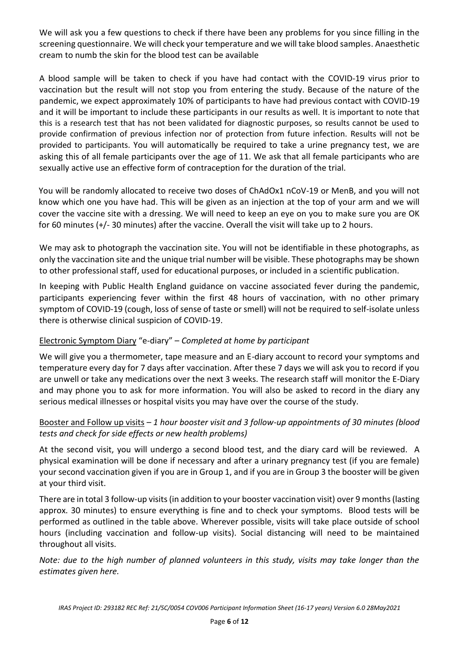We will ask you a few questions to check if there have been any problems for you since filling in the screening questionnaire. We will check your temperature and we will take blood samples. Anaesthetic cream to numb the skin for the blood test can be available

A blood sample will be taken to check if you have had contact with the COVID-19 virus prior to vaccination but the result will not stop you from entering the study. Because of the nature of the pandemic, we expect approximately 10% of participants to have had previous contact with COVID-19 and it will be important to include these participants in our results as well. It is important to note that this is a research test that has not been validated for diagnostic purposes, so results cannot be used to provide confirmation of previous infection nor of protection from future infection. Results will not be provided to participants. You will automatically be required to take a urine pregnancy test, we are asking this of all female participants over the age of 11. We ask that all female participants who are sexually active use an effective form of contraception for the duration of the trial.

You will be randomly allocated to receive two doses of ChAdOx1 nCoV-19 or MenB, and you will not know which one you have had. This will be given as an injection at the top of your arm and we will cover the vaccine site with a dressing. We will need to keep an eye on you to make sure you are OK for 60 minutes (+/- 30 minutes) after the vaccine. Overall the visit will take up to 2 hours.

We may ask to photograph the vaccination site. You will not be identifiable in these photographs, as only the vaccination site and the unique trial number will be visible. These photographs may be shown to other professional staff, used for educational purposes, or included in a scientific publication.

In keeping with Public Health England guidance on vaccine associated fever during the pandemic, participants experiencing fever within the first 48 hours of vaccination, with no other primary symptom of COVID-19 (cough, loss of sense of taste or smell) will not be required to self-isolate unless there is otherwise clinical suspicion of COVID-19.

# Electronic Symptom Diary "e-diary" – *Completed at home by participant*

We will give you a thermometer, tape measure and an E-diary account to record your symptoms and temperature every day for 7 days after vaccination. After these 7 days we will ask you to record if you are unwell or take any medications over the next 3 weeks. The research staff will monitor the E-Diary and may phone you to ask for more information. You will also be asked to record in the diary any serious medical illnesses or hospital visits you may have over the course of the study.

## Booster and Follow up visits *– 1 hour booster visit and 3 follow-up appointments of 30 minutes (blood tests and check for side effects or new health problems)*

At the second visit, you will undergo a second blood test, and the diary card will be reviewed. A physical examination will be done if necessary and after a urinary pregnancy test (if you are female) your second vaccination given if you are in Group 1, and if you are in Group 3 the booster will be given at your third visit.

There are in total 3 follow-up visits (in addition to your booster vaccination visit) over 9 months (lasting approx. 30 minutes) to ensure everything is fine and to check your symptoms. Blood tests will be performed as outlined in the table above. Wherever possible, visits will take place outside of school hours (including vaccination and follow-up visits). Social distancing will need to be maintained throughout all visits.

*Note: due to the high number of planned volunteers in this study, visits may take longer than the estimates given here.*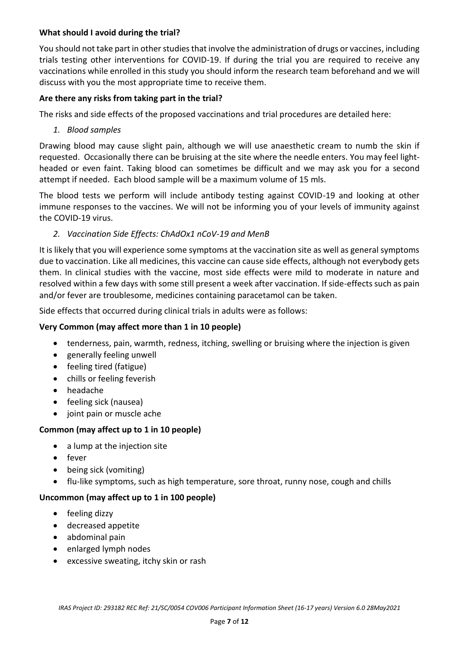## **What should I avoid during the trial?**

You should not take part in other studies that involve the administration of drugs or vaccines, including trials testing other interventions for COVID-19. If during the trial you are required to receive any vaccinations while enrolled in this study you should inform the research team beforehand and we will discuss with you the most appropriate time to receive them.

## **Are there any risks from taking part in the trial?**

The risks and side effects of the proposed vaccinations and trial procedures are detailed here:

*1. Blood samples*

Drawing blood may cause slight pain, although we will use anaesthetic cream to numb the skin if requested. Occasionally there can be bruising at the site where the needle enters. You may feel lightheaded or even faint. Taking blood can sometimes be difficult and we may ask you for a second attempt if needed. Each blood sample will be a maximum volume of 15 mls.

The blood tests we perform will include antibody testing against COVID-19 and looking at other immune responses to the vaccines. We will not be informing you of your levels of immunity against the COVID-19 virus.

#### *2. Vaccination Side Effects: ChAdOx1 nCoV-19 and MenB*

It is likely that you will experience some symptoms at the vaccination site as well as general symptoms due to vaccination. Like all medicines, this vaccine can cause side effects, although not everybody gets them. In clinical studies with the vaccine, most side effects were mild to moderate in nature and resolved within a few days with some still present a week after vaccination. If side-effects such as pain and/or fever are troublesome, medicines containing paracetamol can be taken.

Side effects that occurred during clinical trials in adults were as follows:

#### **Very Common (may affect more than 1 in 10 people)**

- tenderness, pain, warmth, redness, itching, swelling or bruising where the injection is given
- generally feeling unwell
- feeling tired (fatigue)
- chills or feeling feverish
- headache
- feeling sick (nausea)
- joint pain or muscle ache

## **Common (may affect up to 1 in 10 people)**

- a lump at the injection site
- fever
- being sick (vomiting)
- flu-like symptoms, such as high temperature, sore throat, runny nose, cough and chills

#### **Uncommon (may affect up to 1 in 100 people)**

- feeling dizzy
- decreased appetite
- abdominal pain
- enlarged lymph nodes
- excessive sweating, itchy skin or rash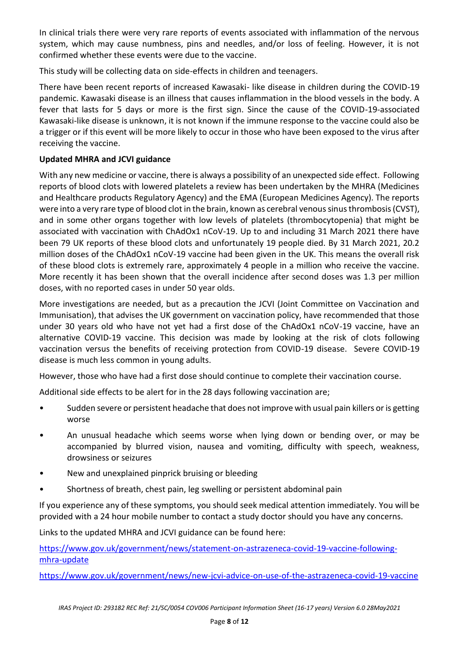In clinical trials there were very rare reports of events associated with inflammation of the nervous system, which may cause numbness, pins and needles, and/or loss of feeling. However, it is not confirmed whether these events were due to the vaccine.

This study will be collecting data on side-effects in children and teenagers.

There have been recent reports of increased Kawasaki- like disease in children during the COVID-19 pandemic. Kawasaki disease is an illness that causes inflammation in the blood vessels in the body. A fever that lasts for 5 days or more is the first sign. Since the cause of the COVID-19-associated Kawasaki-like disease is unknown, it is not known if the immune response to the vaccine could also be a trigger or if this event will be more likely to occur in those who have been exposed to the virus after receiving the vaccine.

## **Updated MHRA and JCVI guidance**

With any new medicine or vaccine, there is always a possibility of an unexpected side effect. Following reports of blood clots with lowered platelets a review has been undertaken by the MHRA (Medicines and Healthcare products Regulatory Agency) and the EMA (European Medicines Agency). The reports were into a very rare type of blood clot in the brain, known as cerebral venous sinus thrombosis (CVST), and in some other organs together with low levels of platelets (thrombocytopenia) that might be associated with vaccination with ChAdOx1 nCoV-19. Up to and including 31 March 2021 there have been 79 UK reports of these blood clots and unfortunately 19 people died. By 31 March 2021, 20.2 million doses of the ChAdOx1 nCoV-19 vaccine had been given in the UK. This means the overall risk of these blood clots is extremely rare, approximately 4 people in a million who receive the vaccine. More recently it has been shown that the overall incidence after second doses was 1.3 per million doses, with no reported cases in under 50 year olds.

More investigations are needed, but as a precaution the JCVI (Joint Committee on Vaccination and Immunisation), that advises the UK government on vaccination policy, have recommended that those under 30 years old who have not yet had a first dose of the ChAdOx1 nCoV-19 vaccine, have an alternative COVID-19 vaccine. This decision was made by looking at the risk of clots following vaccination versus the benefits of receiving protection from COVID-19 disease. Severe COVID-19 disease is much less common in young adults.

However, those who have had a first dose should continue to complete their vaccination course.

Additional side effects to be alert for in the 28 days following vaccination are;

- Sudden severe or persistent headache that does not improve with usual pain killers or is getting worse
- An unusual headache which seems worse when lying down or bending over, or may be accompanied by blurred vision, nausea and vomiting, difficulty with speech, weakness, drowsiness or seizures
- New and unexplained pinprick bruising or bleeding
- Shortness of breath, chest pain, leg swelling or persistent abdominal pain

If you experience any of these symptoms, you should seek medical attention immediately. You will be provided with a 24 hour mobile number to contact a study doctor should you have any concerns.

Links to the updated MHRA and JCVI guidance can be found here:

[https://www.gov.uk/government/news/statement-on-astrazeneca-covid-19-vaccine-following](https://www.gov.uk/government/news/statement-on-astrazeneca-covid-19-vaccine-following-mhra-update)[mhra-update](https://www.gov.uk/government/news/statement-on-astrazeneca-covid-19-vaccine-following-mhra-update)

<https://www.gov.uk/government/news/new-jcvi-advice-on-use-of-the-astrazeneca-covid-19-vaccine>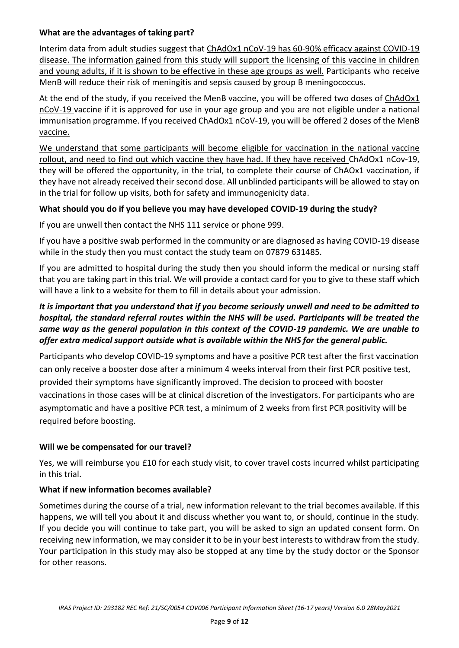## **What are the advantages of taking part?**

Interim data from adult studies suggest that ChAdOx1 nCoV-19 has 60-90% efficacy against COVID-19 disease. The information gained from this study will support the licensing of this vaccine in children and young adults, if it is shown to be effective in these age groups as well. Participants who receive MenB will reduce their risk of meningitis and sepsis caused by group B meningococcus.

At the end of the study, if you received the MenB vaccine, you will be offered two doses of ChAdOx1 nCoV-19 vaccine if it is approved for use in your age group and you are not eligible under a national immunisation programme. If you received ChAdOx1 nCoV-19, you will be offered 2 doses of the MenB vaccine.

We understand that some participants will become eligible for vaccination in the national vaccine rollout, and need to find out which vaccine they have had. If they have received ChAdOx1 nCov-19, they will be offered the opportunity, in the trial, to complete their course of ChAOx1 vaccination, if they have not already received their second dose. All unblinded participants will be allowed to stay on in the trial for follow up visits, both for safety and immunogenicity data.

## **What should you do if you believe you may have developed COVID-19 during the study?**

If you are unwell then contact the NHS 111 service or phone 999.

If you have a positive swab performed in the community or are diagnosed as having COVID-19 disease while in the study then you must contact the study team on 07879 631485.

If you are admitted to hospital during the study then you should inform the medical or nursing staff that you are taking part in this trial. We will provide a contact card for you to give to these staff which will have a link to a website for them to fill in details about your admission.

# *It is important that you understand that if you become seriously unwell and need to be admitted to hospital, the standard referral routes within the NHS will be used. Participants will be treated the same way as the general population in this context of the COVID-19 pandemic. We are unable to offer extra medical support outside what is available within the NHS for the general public.*

Participants who develop COVID-19 symptoms and have a positive PCR test after the first vaccination can only receive a booster dose after a minimum 4 weeks interval from their first PCR positive test, provided their symptoms have significantly improved. The decision to proceed with booster vaccinations in those cases will be at clinical discretion of the investigators. For participants who are asymptomatic and have a positive PCR test, a minimum of 2 weeks from first PCR positivity will be required before boosting.

## **Will we be compensated for our travel?**

Yes, we will reimburse you £10 for each study visit, to cover travel costs incurred whilst participating in this trial.

## **What if new information becomes available?**

Sometimes during the course of a trial, new information relevant to the trial becomes available. If this happens, we will tell you about it and discuss whether you want to, or should, continue in the study. If you decide you will continue to take part, you will be asked to sign an updated consent form. On receiving new information, we may consider it to be in your best interests to withdraw from the study. Your participation in this study may also be stopped at any time by the study doctor or the Sponsor for other reasons.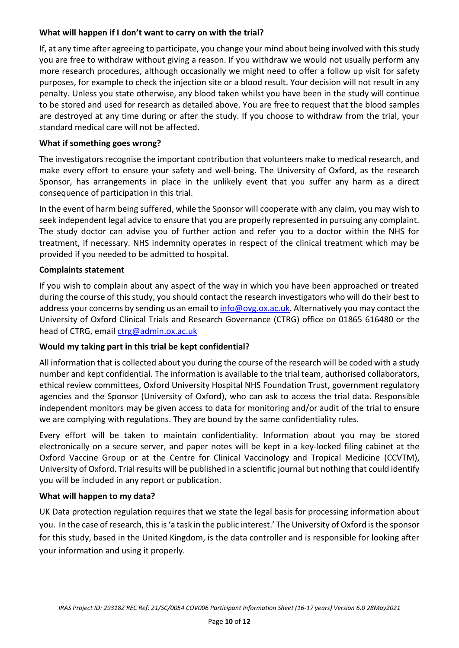## **What will happen if I don't want to carry on with the trial?**

If, at any time after agreeing to participate, you change your mind about being involved with this study you are free to withdraw without giving a reason. If you withdraw we would not usually perform any more research procedures, although occasionally we might need to offer a follow up visit for safety purposes, for example to check the injection site or a blood result. Your decision will not result in any penalty. Unless you state otherwise, any blood taken whilst you have been in the study will continue to be stored and used for research as detailed above. You are free to request that the blood samples are destroyed at any time during or after the study. If you choose to withdraw from the trial, your standard medical care will not be affected.

#### **What if something goes wrong?**

The investigators recognise the important contribution that volunteers make to medical research, and make every effort to ensure your safety and well-being. The University of Oxford, as the research Sponsor, has arrangements in place in the unlikely event that you suffer any harm as a direct consequence of participation in this trial.

In the event of harm being suffered, while the Sponsor will cooperate with any claim, you may wish to seek independent legal advice to ensure that you are properly represented in pursuing any complaint. The study doctor can advise you of further action and refer you to a doctor within the NHS for treatment, if necessary. NHS indemnity operates in respect of the clinical treatment which may be provided if you needed to be admitted to hospital.

#### **Complaints statement**

If you wish to complain about any aspect of the way in which you have been approached or treated during the course of this study, you should contact the research investigators who will do their best to address your concerns by sending us an email to [info@ovg.ox.ac.uk.](mailto:info@ovg.ox.ac.uk) Alternatively you may contact the University of Oxford Clinical Trials and Research Governance (CTRG) office on 01865 616480 or the head of CTRG, email [ctrg@admin.ox.ac.uk](mailto:ctrg@admin.ox.ac.uk)

## **Would my taking part in this trial be kept confidential?**

All information that is collected about you during the course of the research will be coded with a study number and kept confidential. The information is available to the trial team, authorised collaborators, ethical review committees, Oxford University Hospital NHS Foundation Trust, government regulatory agencies and the Sponsor (University of Oxford), who can ask to access the trial data. Responsible independent monitors may be given access to data for monitoring and/or audit of the trial to ensure we are complying with regulations. They are bound by the same confidentiality rules.

Every effort will be taken to maintain confidentiality. Information about you may be stored electronically on a secure server, and paper notes will be kept in a key-locked filing cabinet at the Oxford Vaccine Group or at the Centre for Clinical Vaccinology and Tropical Medicine (CCVTM), University of Oxford. Trial results will be published in a scientific journal but nothing that could identify you will be included in any report or publication.

#### **What will happen to my data?**

UK Data protection regulation requires that we state the legal basis for processing information about you. In the case of research, this is 'a task in the public interest.' The University of Oxford is the sponsor for this study, based in the United Kingdom, is the data controller and is responsible for looking after your information and using it properly.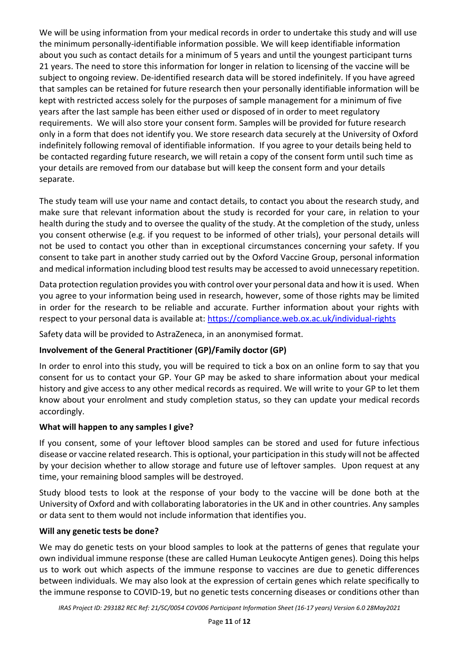We will be using information from your medical records in order to undertake this study and will use the minimum personally-identifiable information possible. We will keep identifiable information about you such as contact details for a minimum of 5 years and until the youngest participant turns 21 years. The need to store this information for longer in relation to licensing of the vaccine will be subject to ongoing review. De-identified research data will be stored indefinitely. If you have agreed that samples can be retained for future research then your personally identifiable information will be kept with restricted access solely for the purposes of sample management for a minimum of five years after the last sample has been either used or disposed of in order to meet regulatory requirements. We will also store your consent form. Samples will be provided for future research only in a form that does not identify you. We store research data securely at the University of Oxford indefinitely following removal of identifiable information. If you agree to your details being held to be contacted regarding future research, we will retain a copy of the consent form until such time as your details are removed from our database but will keep the consent form and your details separate.

The study team will use your name and contact details, to contact you about the research study, and make sure that relevant information about the study is recorded for your care, in relation to your health during the study and to oversee the quality of the study. At the completion of the study, unless you consent otherwise (e.g. if you request to be informed of other trials), your personal details will not be used to contact you other than in exceptional circumstances concerning your safety. If you consent to take part in another study carried out by the Oxford Vaccine Group, personal information and medical information including blood test results may be accessed to avoid unnecessary repetition.

Data protection regulation provides you with control over your personal data and how it is used. When you agree to your information being used in research, however, some of those rights may be limited in order for the research to be reliable and accurate. Further information about your rights with respect to your personal data is available at: <https://compliance.web.ox.ac.uk/individual-rights>

Safety data will be provided to AstraZeneca, in an anonymised format.

# **Involvement of the General Practitioner (GP)/Family doctor (GP)**

In order to enrol into this study, you will be required to tick a box on an online form to say that you consent for us to contact your GP. Your GP may be asked to share information about your medical history and give access to any other medical records as required. We will write to your GP to let them know about your enrolment and study completion status, so they can update your medical records accordingly.

# **What will happen to any samples I give?**

If you consent, some of your leftover blood samples can be stored and used for future infectious disease or vaccine related research. This is optional, your participation in this study will not be affected by your decision whether to allow storage and future use of leftover samples. Upon request at any time, your remaining blood samples will be destroyed.

Study blood tests to look at the response of your body to the vaccine will be done both at the University of Oxford and with collaborating laboratories in the UK and in other countries. Any samples or data sent to them would not include information that identifies you.

# **Will any genetic tests be done?**

We may do genetic tests on your blood samples to look at the patterns of genes that regulate your own individual immune response (these are called Human Leukocyte Antigen genes). Doing this helps us to work out which aspects of the immune response to vaccines are due to genetic differences between individuals. We may also look at the expression of certain genes which relate specifically to the immune response to COVID-19, but no genetic tests concerning diseases or conditions other than